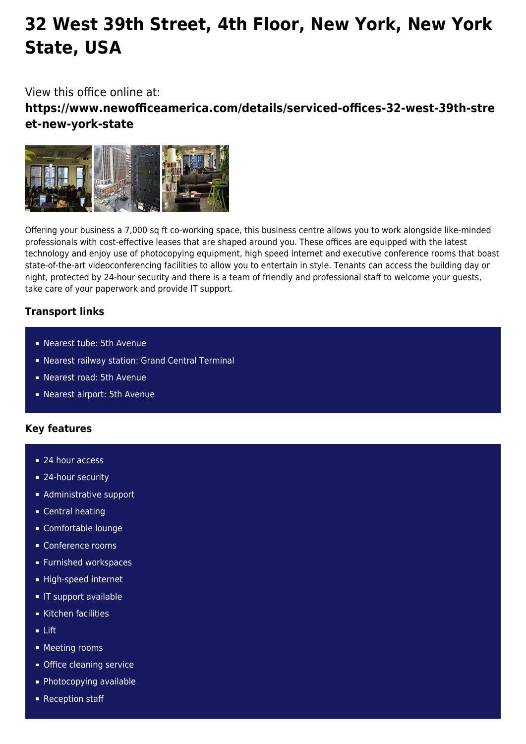# **32 West 39th Street, 4th Floor, New York, New York State, USA**

## View this office online at:

**https://www.newofficeamerica.com/details/serviced-offices-32-west-39th-stre et-new-york-state**



Offering your business a 7,000 sq ft co-working space, this business centre allows you to work alongside like-minded professionals with cost-effective leases that are shaped around you. These offices are equipped with the latest technology and enjoy use of photocopying equipment, high speed internet and executive conference rooms that boast state-of-the-art videoconferencing facilities to allow you to entertain in style. Tenants can access the building day or night, protected by 24-hour security and there is a team of friendly and professional staff to welcome your guests, take care of your paperwork and provide IT support.

### **Transport links**

- Nearest tube: 5th Avenue
- Nearest railway station: Grand Central Terminal
- Nearest road: 5th Avenue
- Nearest airport: 5th Avenue

### **Key features**

- 24 hour access
- 24-hour security
- **Administrative support**
- **Central heating**
- Comfortable lounge
- Conference rooms
- **Furnished workspaces**
- High-speed internet
- **IF support available**
- Kitchen facilities
- Lift
- **Meeting rooms**
- **Office cleaning service**
- Photocopying available
- Reception staff